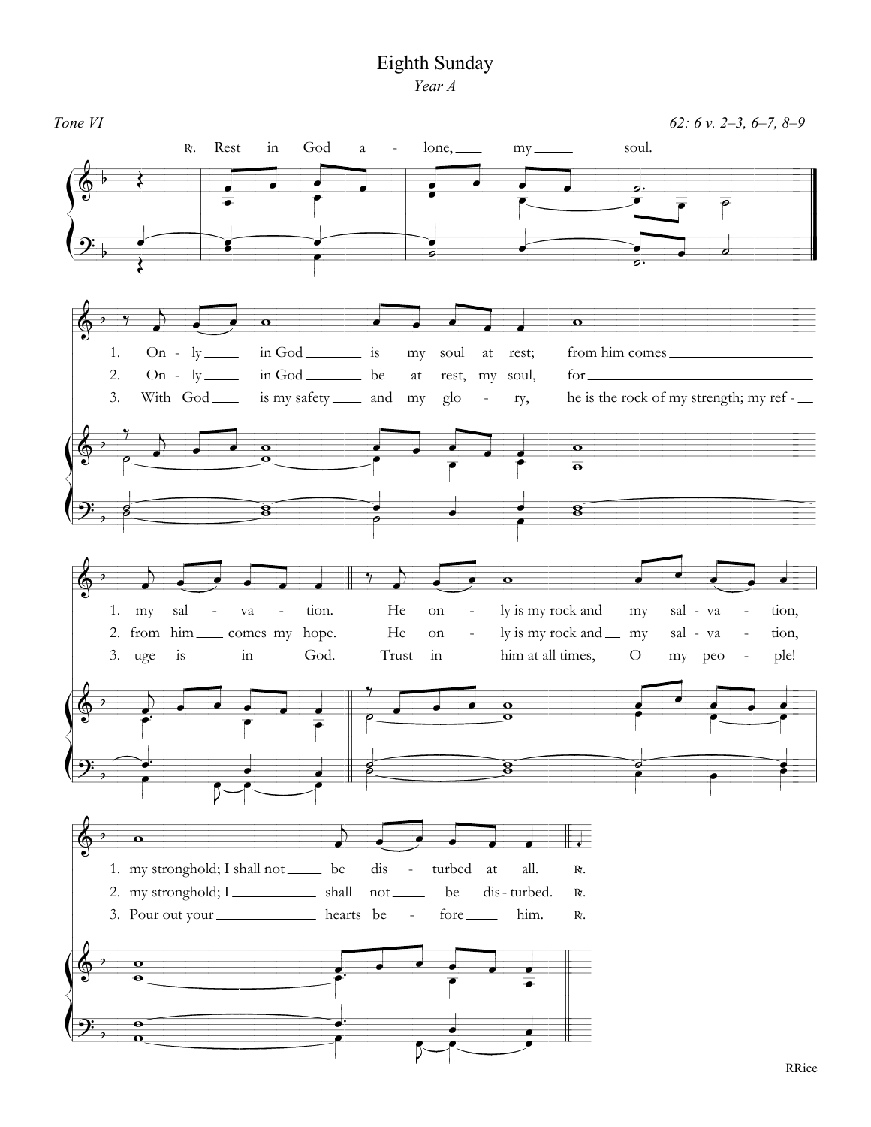## Eighth Sunday

Year A